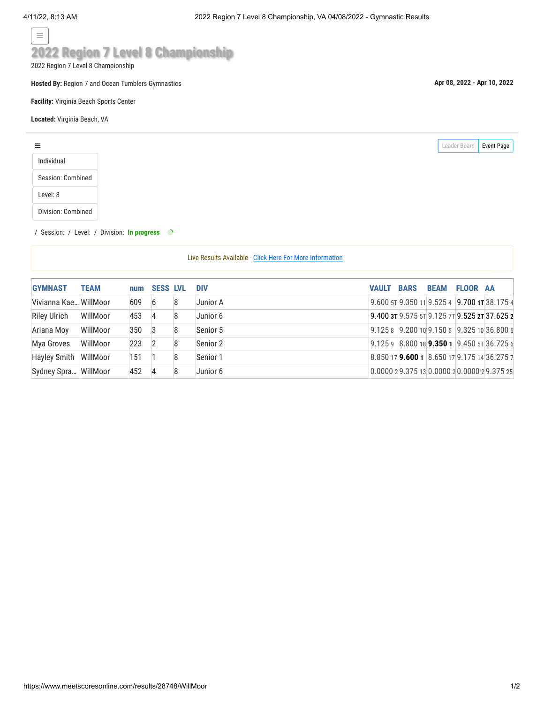$\equiv$ 

## **2022 Region 7 Level 8 Championship**

2022 Region 7 Level 8 Championship

**Hosted By:** Region 7 and Ocean Tumblers Gymnastics

**Facility:** Virginia Beach Sports Center

**Located:** Virginia Beach, VA

| Leader Board | <b>Event Page</b> |
|--------------|-------------------|
|              |                   |
|              |                   |
|              |                   |
|              |                   |

## / Session: / Level: / Division: **In progress**

Live Results Available - [Click Here For More Information](https://www.meetscoresonline.com/Results.LiveSubscribe)

| <b>GYMNAST</b>        | <b>TEAM</b> | num | <b>SESS LVL</b> |   | <b>DIV</b> | <b>VAULT</b> | <b>BARS</b> | <b>BEAM FLOOR AA</b> |                                                      |
|-----------------------|-------------|-----|-----------------|---|------------|--------------|-------------|----------------------|------------------------------------------------------|
| Vivianna Kae WillMoor |             | 609 | 6               | 8 | Junior A   |              |             |                      | 9.600 5T 9.350 11 9.525 4 9.700 1T 38.175 4          |
| <b>Riley Ulrich</b>   | WillMoor    | 453 | 4               | 8 | Junior 6   |              |             |                      | 9.400 $3T$ 9.575 $5T$ 9.125 $7T$ 9.525 $2T$ 37.625 2 |
| Ariana Moy            | WillMoor    | 350 | 3               | 8 | Senior 5   |              |             |                      | $9.1258$ 9.200 10 9.150 5 9.325 10 36.800 6          |
| Mya Groves            | WillMoor    | 223 | 2               | 8 | Senior 2   |              |             |                      | 9.125 9 8.800 18 <b>9.350 1</b> 9.450 5 36.725 6     |
| Hayley Smith          | WillMoor    | 151 |                 | 8 | Senior 1   |              |             |                      | 8.850 17 9.600 1 8.650 17 9.175 14 36.275 7          |
| Sydney Spra WillMoor  |             | 452 | 4               | 8 | Junior 6   |              |             |                      | 0.000029.375130.000020.000029.37525                  |

**Apr 08, 2022 - Apr 10, 2022**